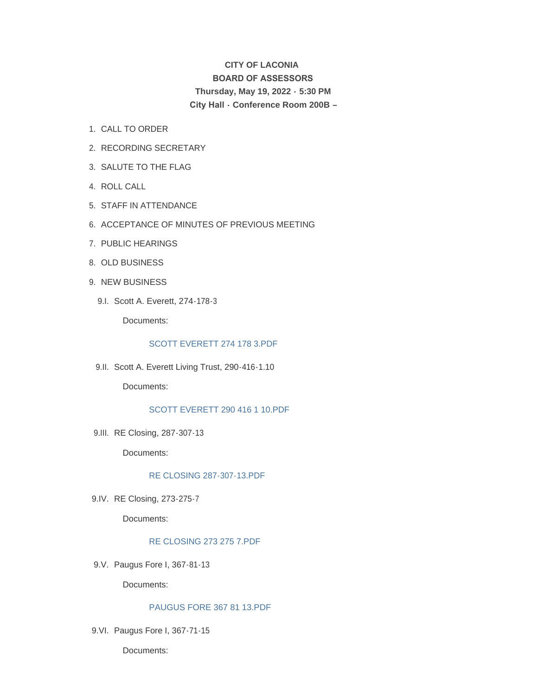# **CITY OF LACONIA BOARD OF ASSESSORS Thursday, May 19, 2022 - 5:30 PM City Hall - Conference Room 200B –**

- 1. CALL TO ORDER
- 2. RECORDING SECRETARY
- 3. SALUTE TO THE FLAG
- 4. ROLL CALL
- STAFF IN ATTENDANCE 5.
- 6. ACCEPTANCE OF MINUTES OF PREVIOUS MEETING
- 7. PUBLIC HEARINGS
- 8. OLD BUSINESS
- 9. NEW BUSINESS
	- Scott A. Everett, 274-178-3 9.I.

Documents:

## [SCOTT EVERETT 274 178 3.PDF](https://www.laconianh.gov/AgendaCenter/ViewFile/Item/20790?fileID=43493)

9.II. Scott A. Everett Living Trust, 290-416-1.10

Documents:

## [SCOTT EVERETT 290 416 1 10.PDF](https://www.laconianh.gov/AgendaCenter/ViewFile/Item/20791?fileID=43494)

9.III. RE Closing, 287-307-13

Documents:

#### [RE CLOSING 287-307-13.PDF](https://www.laconianh.gov/AgendaCenter/ViewFile/Item/20789?fileID=43492)

9.IV. RE Closing, 273-275-7

Documents:

## [RE CLOSING 273 275 7.PDF](https://www.laconianh.gov/AgendaCenter/ViewFile/Item/20788?fileID=43491)

9.V. Paugus Fore I, 367-81-13

Documents:

## [PAUGUS FORE 367 81 13.PDF](https://www.laconianh.gov/AgendaCenter/ViewFile/Item/20786?fileID=43489)

9.VI. Paugus Fore I, 367-71-15

Documents: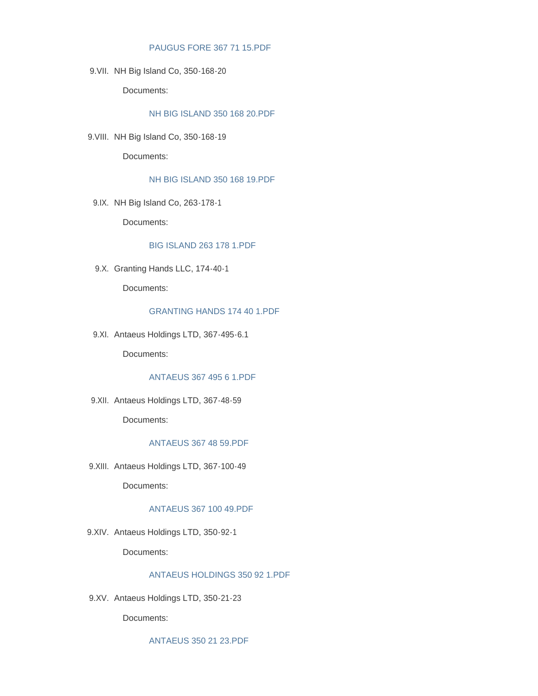#### [PAUGUS FORE 367 71 15.PDF](https://www.laconianh.gov/AgendaCenter/ViewFile/Item/20787?fileID=43490)

9. VII. NH Big Island Co, 350-168-20

Documents:

## [NH BIG ISLAND 350 168 20.PDF](https://www.laconianh.gov/AgendaCenter/ViewFile/Item/20794?fileID=43497)

9. VIII. NH Big Island Co, 350-168-19

Documents:

#### [NH BIG ISLAND 350 168 19.PDF](https://www.laconianh.gov/AgendaCenter/ViewFile/Item/20793?fileID=43496)

9.IX. NH Big Island Co, 263-178-1

Documents:

#### [BIG ISLAND 263 178 1.PDF](https://www.laconianh.gov/AgendaCenter/ViewFile/Item/20792?fileID=43495)

9.X. Granting Hands LLC, 174-40-1

Documents:

## [GRANTING HANDS 174 40 1.PDF](https://www.laconianh.gov/AgendaCenter/ViewFile/Item/20785?fileID=43488)

9.XI. Antaeus Holdings LTD, 367-495-6.1

Documents:

## [ANTAEUS 367 495 6 1.PDF](https://www.laconianh.gov/AgendaCenter/ViewFile/Item/20778?fileID=43481)

9.XII. Antaeus Holdings LTD, 367-48-59

Documents:

#### [ANTAEUS 367 48 59.PDF](https://www.laconianh.gov/AgendaCenter/ViewFile/Item/20780?fileID=43483)

9.XIII. Antaeus Holdings LTD, 367-100-49

Documents:

#### [ANTAEUS 367 100 49.PDF](https://www.laconianh.gov/AgendaCenter/ViewFile/Item/20779?fileID=43482)

9.XIV. Antaeus Holdings LTD, 350-92-1

Documents:

## [ANTAEUS HOLDINGS 350 92 1.PDF](https://www.laconianh.gov/AgendaCenter/ViewFile/Item/20781?fileID=43484)

9.XV. Antaeus Holdings LTD, 350-21-23

Documents:

[ANTAEUS 350 21 23.PDF](https://www.laconianh.gov/AgendaCenter/ViewFile/Item/20784?fileID=43487)